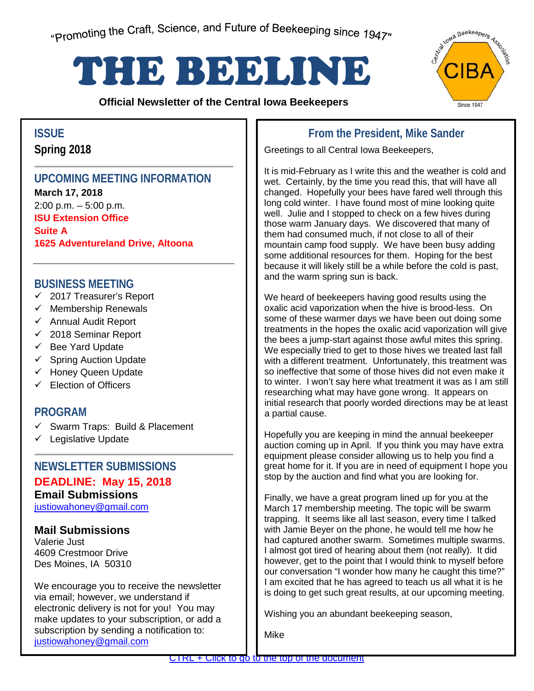# <span id="page-0-0"></span>THE BEELINE

**Official Newsletter of the Central Iowa Beekeepers** 



**Spring 2018**

# **UPCOMING MEETING INFORMATION**

**March 17, 2018** 2:00 p.m. – 5:00 p.m. **ISU Extension Office Suite A 1625 Adventureland Drive, Altoona**

# **BUSINESS MEETING**

- $\checkmark$  2017 Treasurer's Report
- $\checkmark$  Membership Renewals
- $\checkmark$  Annual Audit Report
- $\checkmark$  2018 Seminar Report
- $\checkmark$  Bee Yard Update
- $\checkmark$  Spring Auction Update
- $\checkmark$  Honey Queen Update
- $\checkmark$  Election of Officers

# **PROGRAM**

- Swarm Traps: Build & Placement
- $\checkmark$  Legislative Update

# **NEWSLETTER SUBMISSIONS**

# **DEADLINE: May 15, 2018**

**Email Submissions**

justiowahoney@gmail.com

# **Mail Submissions**

Valerie Just 4609 Crestmoor Drive Des Moines, IA 50310

subscription by sending a notification to: We encourage you to receive the newsletter via email; however, we understand if electronic delivery is not for you! You may make updates to your subscription, or add a justiowahoney@gmail.com

# **ISSUE From the President, Mike Sander**

Greetings to all Central Iowa Beekeepers,

It is mid-February as I write this and the weather is cold and wet. Certainly, by the time you read this, that will have all changed. Hopefully your bees have fared well through this long cold winter. I have found most of mine looking quite well. Julie and I stopped to check on a few hives during those warm January days. We discovered that many of them had consumed much, if not close to all of their mountain camp food supply. We have been busy adding some additional resources for them. Hoping for the best because it will likely still be a while before the cold is past, and the warm spring sun is back.

We heard of beekeepers having good results using the oxalic acid vaporization when the hive is brood-less. On some of these warmer days we have been out doing some treatments in the hopes the oxalic acid vaporization will give the bees a jump-start against those awful mites this spring. We especially tried to get to those hives we treated last fall with a different treatment. Unfortunately, this treatment was so ineffective that some of those hives did not even make it to winter. I won't say here what treatment it was as I am still researching what may have gone wrong. It appears on initial research that poorly worded directions may be at least a partial cause.

Hopefully you are keeping in mind the annual beekeeper auction coming up in April. If you think you may have extra equipment please consider allowing us to help you find a great home for it. If you are in need of equipment I hope you stop by the auction and find what you are looking for.

Finally, we have a great program lined up for you at the March 17 membership meeting. The topic will be swarm trapping. It seems like all last season, every time I talked with Jamie Beyer on the phone, he would tell me how he had captured another swarm. Sometimes multiple swarms. I almost got tired of hearing about them (not really). It did however, get to the point that I would think to myself before our conversation "I wonder how many he caught this time?" I am excited that he has agreed to teach us all what it is he is doing to get such great results, at our upcoming meeting.

Wishing you an abundant beekeeping season,

Mike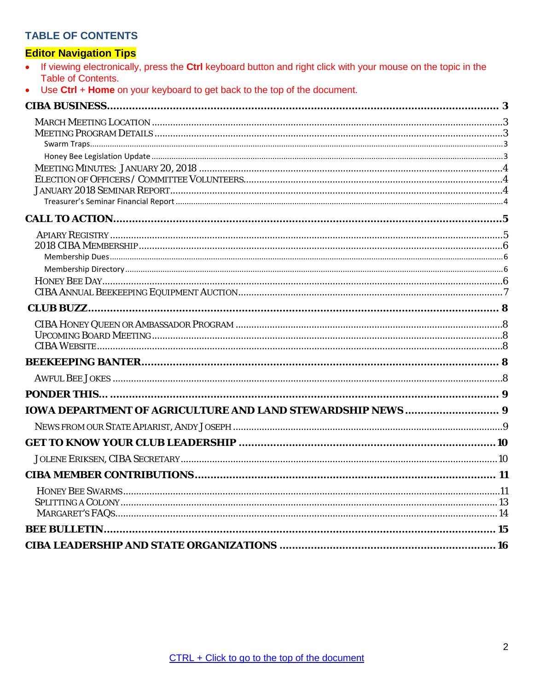#### **TABLE OF CONTENTS**

### **Editor Navigation Tips**

| • If viewing electronically, press the Ctrl keyboard button and right click with your mouse on the topic in the |
|-----------------------------------------------------------------------------------------------------------------|
| Table of Contents.                                                                                              |

Use Ctrl + Home on your keyboard to get back to the top of the document.  $\bullet$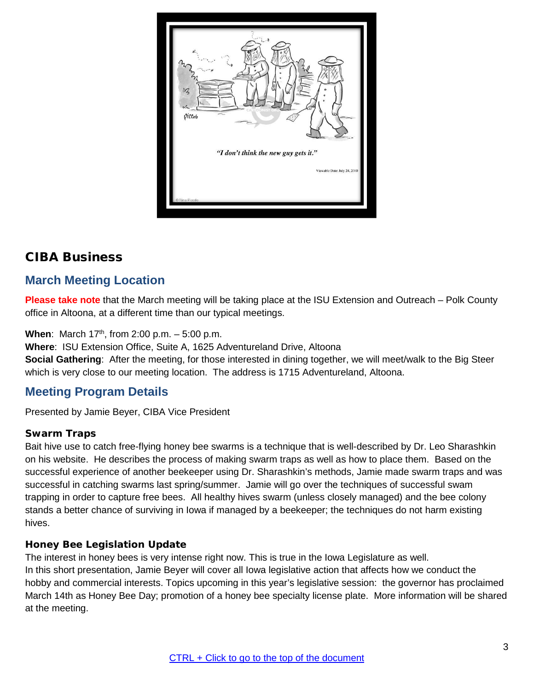

# <span id="page-2-0"></span>CIBA Business

# <span id="page-2-1"></span>**March Meeting Location**

**Please take note** that the March meeting will be taking place at the ISU Extension and Outreach – Polk County office in Altoona, at a different time than our typical meetings.

**When**: March  $17<sup>th</sup>$ , from 2:00 p.m.  $-5:00$  p.m.

**Where**: ISU Extension Office, Suite A, 1625 Adventureland Drive, Altoona

**Social Gathering**: After the meeting, for those interested in dining together, we will meet/walk to the Big Steer which is very close to our meeting location. The address is 1715 Adventureland, Altoona.

# <span id="page-2-2"></span>**Meeting Program Details**

Presented by Jamie Beyer, CIBA Vice President

#### <span id="page-2-3"></span>**Swarm Traps**

Bait hive use to catch free-flying honey bee swarms is a technique that is well-described by Dr. Leo Sharashkin on his website. He describes the process of making swarm traps as well as how to place them. Based on the successful experience of another beekeeper using Dr. Sharashkin's methods, Jamie made swarm traps and was successful in catching swarms last spring/summer. Jamie will go over the techniques of successful swam trapping in order to capture free bees. All healthy hives swarm (unless closely managed) and the bee colony stands a better chance of surviving in Iowa if managed by a beekeeper; the techniques do not harm existing hives.

#### <span id="page-2-4"></span>**Honey Bee Legislation Update**

The interest in honey bees is very intense right now. This is true in the Iowa Legislature as well. In this short presentation, Jamie Beyer will cover all Iowa legislative action that affects how we conduct the hobby and commercial interests. Topics upcoming in this year's legislative session: the governor has proclaimed March 14th as Honey Bee Day; promotion of a honey bee specialty license plate. More information will be shared at the meeting.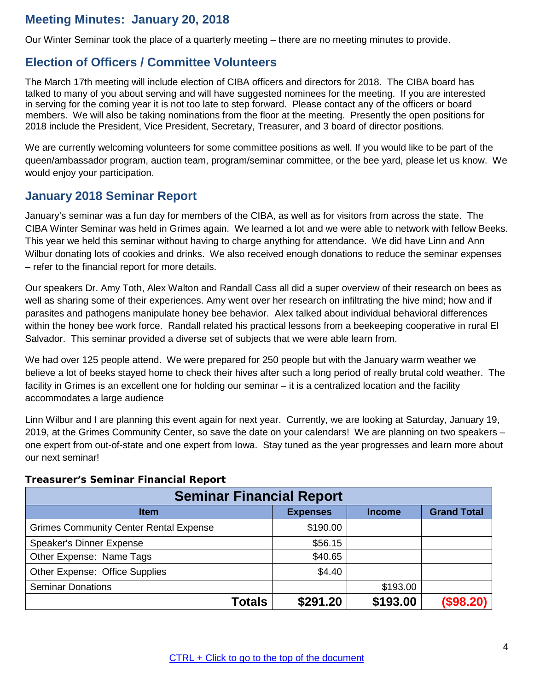# <span id="page-3-0"></span>**Meeting Minutes: January 20, 2018**

Our Winter Seminar took the place of a quarterly meeting – there are no meeting minutes to provide.

# <span id="page-3-1"></span>**Election of Officers / Committee Volunteers**

The March 17th meeting will include election of CIBA officers and directors for 2018. The CIBA board has talked to many of you about serving and will have suggested nominees for the meeting. If you are interested in serving for the coming year it is not too late to step forward. Please contact any of the officers or board members. We will also be taking nominations from the floor at the meeting. Presently the open positions for 2018 include the President, Vice President, Secretary, Treasurer, and 3 board of director positions.

We are currently welcoming volunteers for some committee positions as well. If you would like to be part of the queen/ambassador program, auction team, program/seminar committee, or the bee yard, please let us know. We would enjoy your participation.

# <span id="page-3-2"></span>**January 2018 Seminar Report**

January's seminar was a fun day for members of the CIBA, as well as for visitors from across the state. The CIBA Winter Seminar was held in Grimes again. We learned a lot and we were able to network with fellow Beeks. This year we held this seminar without having to charge anything for attendance. We did have Linn and Ann Wilbur donating lots of cookies and drinks. We also received enough donations to reduce the seminar expenses – refer to the financial report for more details.

Our speakers Dr. Amy Toth, Alex Walton and Randall Cass all did a super overview of their research on bees as well as sharing some of their experiences. Amy went over her research on infiltrating the hive mind; how and if parasites and pathogens manipulate honey bee behavior. Alex talked about individual behavioral differences within the honey bee work force. Randall related his practical lessons from a beekeeping cooperative in rural El Salvador. This seminar provided a diverse set of subjects that we were able learn from.

We had over 125 people attend. We were prepared for 250 people but with the January warm weather we believe a lot of beeks stayed home to check their hives after such a long period of really brutal cold weather. The facility in Grimes is an excellent one for holding our seminar – it is a centralized location and the facility accommodates a large audience

Linn Wilbur and I are planning this event again for next year. Currently, we are looking at Saturday, January 19, 2019, at the Grimes Community Center, so save the date on your calendars! We are planning on two speakers – one expert from out-of-state and one expert from Iowa. Stay tuned as the year progresses and learn more about our next seminar!

| <b>Seminar Financial Report</b>               |               |                 |               |                    |
|-----------------------------------------------|---------------|-----------------|---------------|--------------------|
| <b>Item</b>                                   |               | <b>Expenses</b> | <b>Income</b> | <b>Grand Total</b> |
| <b>Grimes Community Center Rental Expense</b> |               | \$190.00        |               |                    |
| <b>Speaker's Dinner Expense</b>               |               | \$56.15         |               |                    |
| Other Expense: Name Tags                      |               | \$40.65         |               |                    |
| Other Expense: Office Supplies                |               | \$4.40          |               |                    |
| <b>Seminar Donations</b>                      |               |                 | \$193.00      |                    |
|                                               | <b>Totals</b> | \$291.20        | \$193.00      | (\$98.20)          |

#### <span id="page-3-3"></span>**Treasurer's Seminar Financial Report**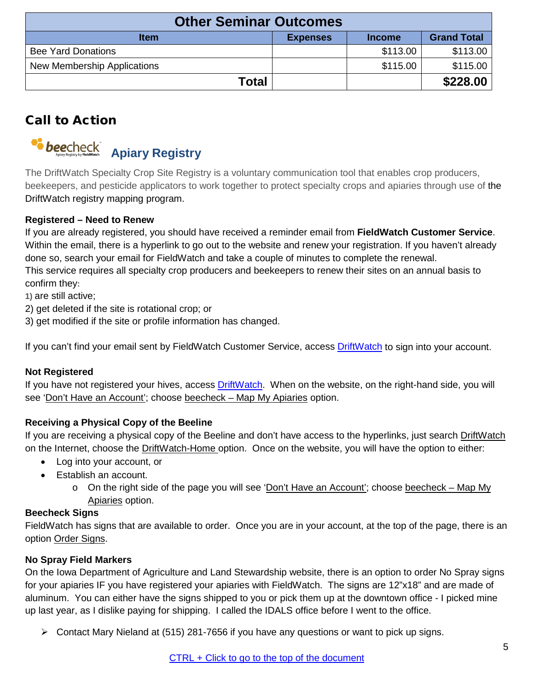| <b>Other Seminar Outcomes</b> |                 |               |                    |
|-------------------------------|-----------------|---------------|--------------------|
| <b>Item</b>                   | <b>Expenses</b> | <b>Income</b> | <b>Grand Total</b> |
| <b>Bee Yard Donations</b>     |                 | \$113.00      | \$113.00           |
| New Membership Applications   |                 | \$115.00      | \$115.00           |
| Total                         |                 |               | \$228.00           |

# <span id="page-4-0"></span>Call to Action

<span id="page-4-1"></span>

The DriftWatch Specialty Crop Site Registry is a voluntary communication tool that enables crop producers, beekeepers, and pesticide applicators to work together to protect specialty crops and apiaries through use of the DriftWatch registry mapping program.

#### **Registered – Need to Renew**

If you are already registered, you should have received a reminder email from **FieldWatch Customer Service**. Within the email, there is a hyperlink to go out to the website and renew your registration. If you haven't already done so, search your email for FieldWatch and take a couple of minutes to complete the renewal. This service requires all specialty crop producers and beekeepers to renew their sites on an annual basis to confirm they**:**

**1)** are still active;

- 2) get deleted if the site is rotational crop; or
- 3) get modified if the site or profile information has changed.

If you can't find your email sent by FieldWatch Customer Service, access [DriftWatch](https://driftwatch.org/) to sign into your account.

#### **Not Registered**

If you have not registered your hives, access [DriftWatch.](https://driftwatch.org/) When on the website, on the right-hand side, you will see 'Don't Have an Account'; choose beecheck - Map My Apiaries option.

#### **Receiving a Physical Copy of the Beeline**

If you are receiving a physical copy of the Beeline and don't have access to the hyperlinks, just search DriftWatch on the Internet, choose the DriftWatch-Home option. Once on the website, you will have the option to either:

- Log into your account, or
- Establish an account.
	- o On the right side of the page you will see 'Don't Have an Account'; choose beecheck Map My Apiaries option.

#### **Beecheck Signs**

FieldWatch has signs that are available to order. Once you are in your account, at the top of the page, there is an option Order Signs.

#### **No Spray Field Markers**

On the Iowa Department of Agriculture and Land Stewardship website, there is an option to order No Spray signs for your apiaries IF you have registered your apiaries with FieldWatch. The signs are 12"x18" and are made of aluminum. You can either have the signs shipped to you or pick them up at the downtown office - I picked mine up last year, as I dislike paying for shipping. I called the IDALS office before I went to the office.

 $\triangleright$  Contact Mary Nieland at (515) 281-7656 if you have any questions or want to pick up signs.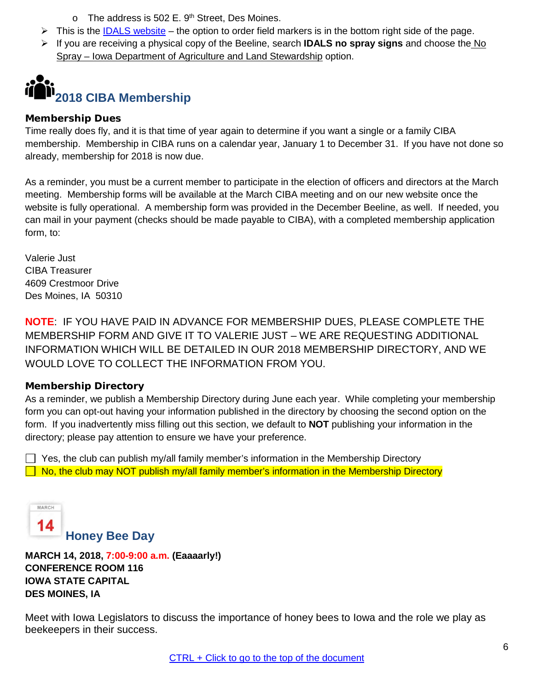$\circ$  The address is 502 E. 9<sup>th</sup> Street, Des Moines.

- $\triangleright$  This is the [IDALS website](http://www.iowaagriculture.gov/Horticulture_and_FarmersMarkets/sensitiveCropDirectory.asp) the option to order field markers is in the bottom right side of the page.
- If you are receiving a physical copy of the Beeline, search **IDALS no spray signs** and choose the No Spray – Iowa Department of Agriculture and Land Stewardship option.

<span id="page-5-0"></span>

#### <span id="page-5-1"></span>**Membership Dues**

Time really does fly, and it is that time of year again to determine if you want a single or a family CIBA membership. Membership in CIBA runs on a calendar year, January 1 to December 31. If you have not done so already, membership for 2018 is now due.

As a reminder, you must be a current member to participate in the election of officers and directors at the March meeting. Membership forms will be available at the March CIBA meeting and on our new website once the website is fully operational. A membership form was provided in the December Beeline, as well. If needed, you can mail in your payment (checks should be made payable to CIBA), with a completed membership application form, to:

Valerie Just CIBA Treasurer 4609 Crestmoor Drive Des Moines, IA 50310

**NOTE**: IF YOU HAVE PAID IN ADVANCE FOR MEMBERSHIP DUES, PLEASE COMPLETE THE MEMBERSHIP FORM AND GIVE IT TO VALERIE JUST – WE ARE REQUESTING ADDITIONAL INFORMATION WHICH WILL BE DETAILED IN OUR 2018 MEMBERSHIP DIRECTORY, AND WE WOULD LOVE TO COLLECT THE INFORMATION FROM YOU.

#### <span id="page-5-2"></span>**Membership Directory**

As a reminder, we publish a Membership Directory during June each year. While completing your membership form you can opt-out having your information published in the directory by choosing the second option on the form. If you inadvertently miss filling out this section, we default to **NOT** publishing your information in the directory; please pay attention to ensure we have your preference.

 $\Box$  Yes, the club can publish my/all family member's information in the Membership Directory  $\Box$  No, the club may NOT publish my/all family member's information in the Membership Directory

<span id="page-5-3"></span>

**MARCH 14, 2018, 7:00-9:00 a.m. (Eaaaarly!) CONFERENCE ROOM 116 IOWA STATE CAPITAL DES MOINES, IA**

Meet with Iowa Legislators to discuss the importance of honey bees to Iowa and the role we play as beekeepers in their success.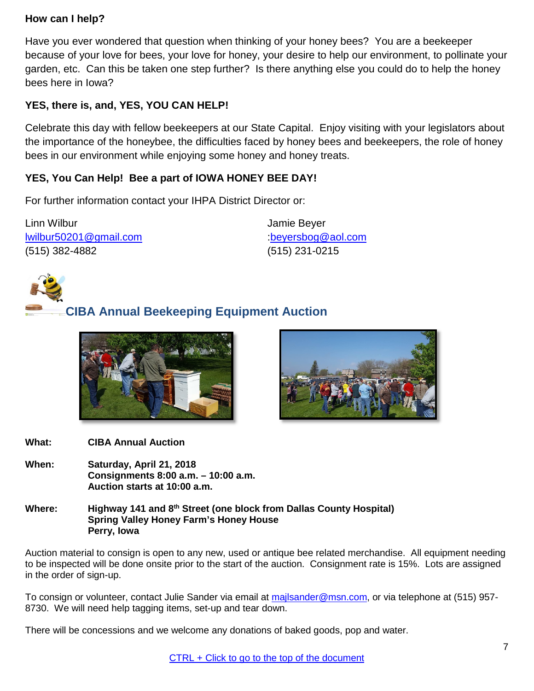# **How can I help?**

Have you ever wondered that question when thinking of your honey bees? You are a beekeeper because of your love for bees, your love for honey, your desire to help our environment, to pollinate your garden, etc. Can this be taken one step further? Is there anything else you could do to help the honey bees here in Iowa?

# **YES, there is, and, YES, YOU CAN HELP!**

Celebrate this day with fellow beekeepers at our State Capital. Enjoy visiting with your legislators about the importance of the honeybee, the difficulties faced by honey bees and beekeepers, the role of honey bees in our environment while enjoying some honey and honey treats.

# **YES, You Can Help! Bee a part of IOWA HONEY BEE DAY!**

For further information contact your IHPA District Director or:

Linn Wilbur [lwilbur50201@gmail.com](mailto:lwilbur50201@gmail.com)  (515) 382-4882

Jamie Beyer [:beyersbog@aol.com](mailto:beyersbog@aol.com) (515) 231-0215

<span id="page-6-0"></span>

# **CIBA Annual Beekeeping Equipment Auction**





- **What: CIBA Annual Auction**
- **When: Saturday, April 21, 2018 Consignments 8:00 a.m. – 10:00 a.m. Auction starts at 10:00 a.m.**
- **Where: Highway 141 and 8th Street (one block from Dallas County Hospital) Spring Valley Honey Farm's Honey House Perry, Iowa**

Auction material to consign is open to any new, used or antique bee related merchandise. All equipment needing to be inspected will be done onsite prior to the start of the auction. Consignment rate is 15%. Lots are assigned in the order of sign-up.

To consign or volunteer, contact Julie Sander via email at [majlsander@msn.com,](mailto:majlsander@msn.com) or via telephone at (515) 957- 8730. We will need help tagging items, set-up and tear down.

There will be concessions and we welcome any donations of baked goods, pop and water.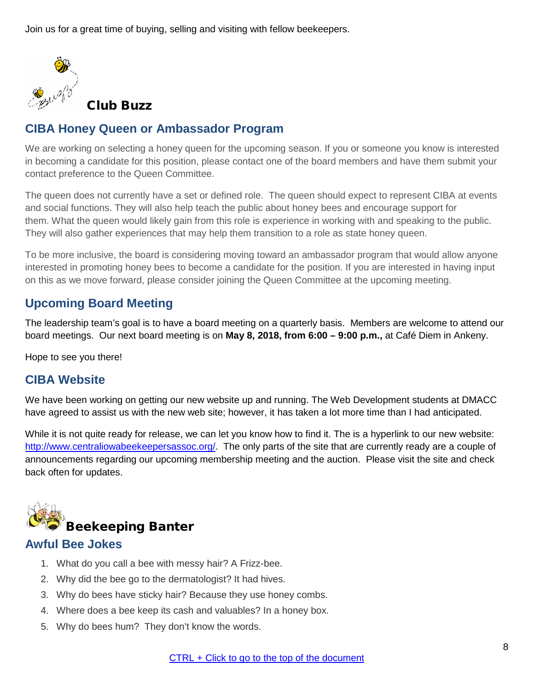<span id="page-7-0"></span>Join us for a great time of buying, selling and visiting with fellow beekeepers.



Club Buzz

# <span id="page-7-1"></span>**CIBA Honey Queen or Ambassador Program**

We are working on selecting a honey queen for the upcoming season. If you or someone you know is interested in becoming a candidate for this position, please contact one of the board members and have them submit your contact preference to the Queen Committee.

The queen does not currently have a set or defined role. The queen should expect to represent CIBA at events and social functions. They will also help teach the public about honey bees and encourage support for them. What the queen would likely gain from this role is experience in working with and speaking to the public. They will also gather experiences that may help them transition to a role as state honey queen.

To be more inclusive, the board is considering moving toward an ambassador program that would allow anyone interested in promoting honey bees to become a candidate for the position. If you are interested in having input on this as we move forward, please consider joining the Queen Committee at the upcoming meeting.

# <span id="page-7-2"></span>**Upcoming Board Meeting**

The leadership team's goal is to have a board meeting on a quarterly basis. Members are welcome to attend our board meetings. Our next board meeting is on **May 8, 2018, from 6:00 – 9:00 p.m.,** at Café Diem in Ankeny.

Hope to see you there!

# <span id="page-7-3"></span>**CIBA Website**

We have been working on getting our new website up and running. The Web Development students at DMACC have agreed to assist us with the new web site; however, it has taken a lot more time than I had anticipated.

While it is not quite ready for release, we can let you know how to find it. The is a hyperlink to our new website: [http://www.centraliowabeekeepersassoc.org/.](http://www.centraliowabeekeepersassoc.org/) The only parts of the site that are currently ready are a couple of announcements regarding our upcoming membership meeting and the auction. Please visit the site and check back often for updates.

<span id="page-7-4"></span>

# <span id="page-7-5"></span>**Awful Bee Jokes**

- 1. What do you call a bee with messy hair? A Frizz-bee.
- 2. Why did the bee go to the dermatologist? It had hives.
- 3. Why do bees have sticky hair? Because they use honey combs.
- 4. Where does a bee keep its cash and valuables? In a honey box.
- 5. Why do bees hum? They don't know the words.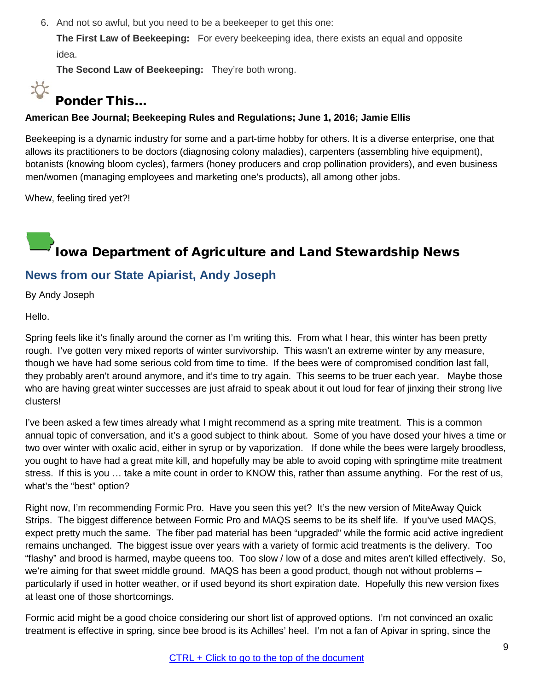6. And not so awful, but you need to be a beekeeper to get this one:

**The First Law of Beekeeping:** For every beekeeping idea, there exists an equal and opposite idea.

**The Second Law of Beekeeping:** They're both wrong.

# <span id="page-8-0"></span> $\sum_{i=1}^{n}$ Ponder This…

#### **American Bee Journal; Beekeeping Rules and Regulations; June 1, 2016; Jamie Ellis**

Beekeeping is a dynamic industry for some and a part-time hobby for others. It is a diverse enterprise, one that allows its practitioners to be doctors (diagnosing colony maladies), carpenters (assembling hive equipment), botanists (knowing bloom cycles), farmers (honey producers and crop pollination providers), and even business men/women (managing employees and marketing one's products), all among other jobs.

<span id="page-8-1"></span>Whew, feeling tired yet?!

# Iowa Department of Agriculture and Land Stewardship News

# <span id="page-8-2"></span>**News from our State Apiarist, Andy Joseph**

By Andy Joseph

Hello.

Spring feels like it's finally around the corner as I'm writing this. From what I hear, this winter has been pretty rough. I've gotten very mixed reports of winter survivorship. This wasn't an extreme winter by any measure, though we have had some serious cold from time to time. If the bees were of compromised condition last fall, they probably aren't around anymore, and it's time to try again. This seems to be truer each year. Maybe those who are having great winter successes are just afraid to speak about it out loud for fear of jinxing their strong live clusters!

I've been asked a few times already what I might recommend as a spring mite treatment. This is a common annual topic of conversation, and it's a good subject to think about. Some of you have dosed your hives a time or two over winter with oxalic acid, either in syrup or by vaporization. If done while the bees were largely broodless, you ought to have had a great mite kill, and hopefully may be able to avoid coping with springtime mite treatment stress. If this is you … take a mite count in order to KNOW this, rather than assume anything. For the rest of us, what's the "best" option?

Right now, I'm recommending Formic Pro. Have you seen this yet? It's the new version of MiteAway Quick Strips. The biggest difference between Formic Pro and MAQS seems to be its shelf life. If you've used MAQS, expect pretty much the same. The fiber pad material has been "upgraded" while the formic acid active ingredient remains unchanged. The biggest issue over years with a variety of formic acid treatments is the delivery. Too "flashy" and brood is harmed, maybe queens too. Too slow / low of a dose and mites aren't killed effectively. So, we're aiming for that sweet middle ground. MAQS has been a good product, though not without problems – particularly if used in hotter weather, or if used beyond its short expiration date. Hopefully this new version fixes at least one of those shortcomings.

Formic acid might be a good choice considering our short list of approved options. I'm not convinced an oxalic treatment is effective in spring, since bee brood is its Achilles' heel. I'm not a fan of Apivar in spring, since the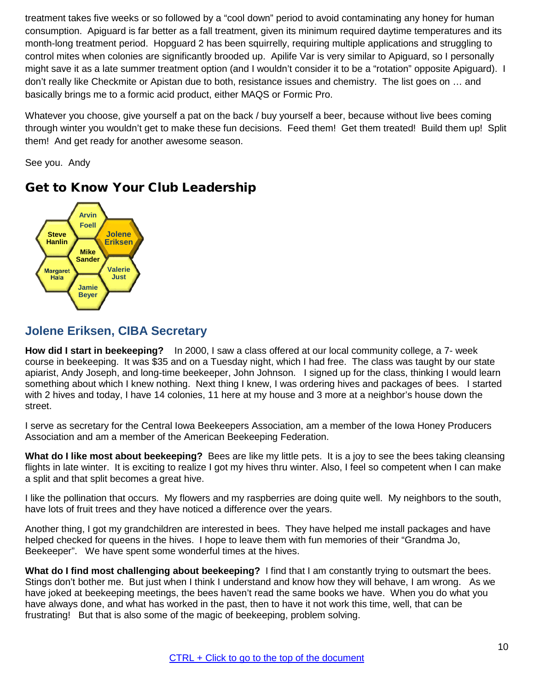treatment takes five weeks or so followed by a "cool down" period to avoid contaminating any honey for human consumption. Apiguard is far better as a fall treatment, given its minimum required daytime temperatures and its month-long treatment period. Hopguard 2 has been squirrelly, requiring multiple applications and struggling to control mites when colonies are significantly brooded up. Apilife Var is very similar to Apiguard, so I personally might save it as a late summer treatment option (and I wouldn't consider it to be a "rotation" opposite Apiguard). I don't really like Checkmite or Apistan due to both, resistance issues and chemistry. The list goes on … and basically brings me to a formic acid product, either MAQS or Formic Pro.

Whatever you choose, give yourself a pat on the back / buy yourself a beer, because without live bees coming through winter you wouldn't get to make these fun decisions. Feed them! Get them treated! Build them up! Split them! And get ready for another awesome season.

See you. Andy



# <span id="page-9-0"></span>Get to Know Your Club Leadership

# <span id="page-9-1"></span>**Jolene Eriksen, CIBA Secretary**

**How did I start in beekeeping?** In 2000, I saw a class offered at our local community college, a 7- week course in beekeeping. It was \$35 and on a Tuesday night, which I had free. The class was taught by our state apiarist, Andy Joseph, and long-time beekeeper, John Johnson. I signed up for the class, thinking I would learn something about which I knew nothing. Next thing I knew, I was ordering hives and packages of bees. I started with 2 hives and today, I have 14 colonies, 11 here at my house and 3 more at a neighbor's house down the street.

I serve as secretary for the Central Iowa Beekeepers Association, am a member of the Iowa Honey Producers Association and am a member of the American Beekeeping Federation.

**What do I like most about beekeeping?** Bees are like my little pets. It is a joy to see the bees taking cleansing flights in late winter. It is exciting to realize I got my hives thru winter. Also, I feel so competent when I can make a split and that split becomes a great hive.

I like the pollination that occurs. My flowers and my raspberries are doing quite well. My neighbors to the south, have lots of fruit trees and they have noticed a difference over the years.

Another thing, I got my grandchildren are interested in bees. They have helped me install packages and have helped checked for queens in the hives. I hope to leave them with fun memories of their "Grandma Jo, Beekeeper". We have spent some wonderful times at the hives.

**What do I find most challenging about beekeeping?** I find that I am constantly trying to outsmart the bees. Stings don't bother me. But just when I think I understand and know how they will behave, I am wrong. As we have joked at beekeeping meetings, the bees haven't read the same books we have. When you do what you have always done, and what has worked in the past, then to have it not work this time, well, that can be frustrating! But that is also some of the magic of beekeeping, problem solving.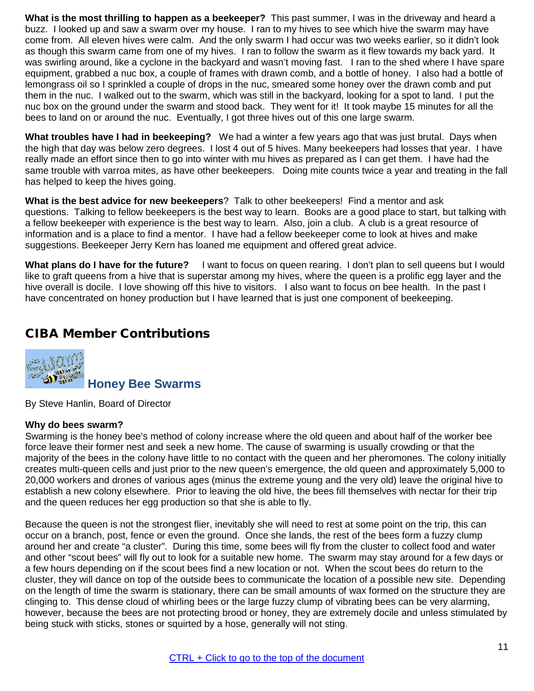**What is the most thrilling to happen as a beekeeper?** This past summer, I was in the driveway and heard a buzz. I looked up and saw a swarm over my house. I ran to my hives to see which hive the swarm may have come from. All eleven hives were calm. And the only swarm I had occur was two weeks earlier, so it didn't look as though this swarm came from one of my hives. I ran to follow the swarm as it flew towards my back yard. It was swirling around, like a cyclone in the backyard and wasn't moving fast. I ran to the shed where I have spare equipment, grabbed a nuc box, a couple of frames with drawn comb, and a bottle of honey. I also had a bottle of lemongrass oil so I sprinkled a couple of drops in the nuc, smeared some honey over the drawn comb and put them in the nuc. I walked out to the swarm, which was still in the backyard, looking for a spot to land. I put the nuc box on the ground under the swarm and stood back. They went for it! It took maybe 15 minutes for all the bees to land on or around the nuc. Eventually, I got three hives out of this one large swarm.

**What troubles have I had in beekeeping?** We had a winter a few years ago that was just brutal. Days when the high that day was below zero degrees. I lost 4 out of 5 hives. Many beekeepers had losses that year. I have really made an effort since then to go into winter with mu hives as prepared as I can get them. I have had the same trouble with varroa mites, as have other beekeepers. Doing mite counts twice a year and treating in the fall has helped to keep the hives going.

**What is the best advice for new beekeepers**? Talk to other beekeepers! Find a mentor and ask questions. Talking to fellow beekeepers is the best way to learn. Books are a good place to start, but talking with a fellow beekeeper with experience is the best way to learn. Also, join a club. A club is a great resource of information and is a place to find a mentor. I have had a fellow beekeeper come to look at hives and make suggestions. Beekeeper Jerry Kern has loaned me equipment and offered great advice.

**What plans do I have for the future?** I want to focus on queen rearing. I don't plan to sell queens but I would like to graft queens from a hive that is superstar among my hives, where the queen is a prolific egg layer and the hive overall is docile. I love showing off this hive to visitors. I also want to focus on bee health. In the past I have concentrated on honey production but I have learned that is just one component of beekeeping.

# <span id="page-10-0"></span>CIBA Member Contributions

<span id="page-10-1"></span>

By Steve Hanlin, Board of Director

#### **Why do bees swarm?**

Swarming is the honey bee's method of colony increase where the old queen and about half of the worker bee force leave their former nest and seek a new home. The cause of swarming is usually crowding or that the majority of the bees in the colony have little to no contact with the queen and her pheromones. The colony initially creates multi-queen cells and just prior to the new queen's emergence, the old queen and approximately 5,000 to 20,000 workers and drones of various ages (minus the extreme young and the very old) leave the original hive to establish a new colony elsewhere. Prior to leaving the old hive, the bees fill themselves with nectar for their trip and the queen reduces her egg production so that she is able to fly.

Because the queen is not the strongest flier, inevitably she will need to rest at some point on the trip, this can occur on a branch, post, fence or even the ground. Once she lands, the rest of the bees form a fuzzy clump around her and create "a cluster". During this time, some bees will fly from the cluster to collect food and water and other "scout bees" will fly out to look for a suitable new home. The swarm may stay around for a few days or a few hours depending on if the scout bees find a new location or not. When the scout bees do return to the cluster, they will dance on top of the outside bees to communicate the location of a possible new site. Depending on the length of time the swarm is stationary, there can be small amounts of wax formed on the structure they are clinging to. This dense cloud of whirling bees or the large fuzzy clump of vibrating bees can be very alarming, however, because the bees are not protecting brood or honey, they are extremely docile and unless stimulated by being stuck with sticks, stones or squirted by a hose, generally will not sting.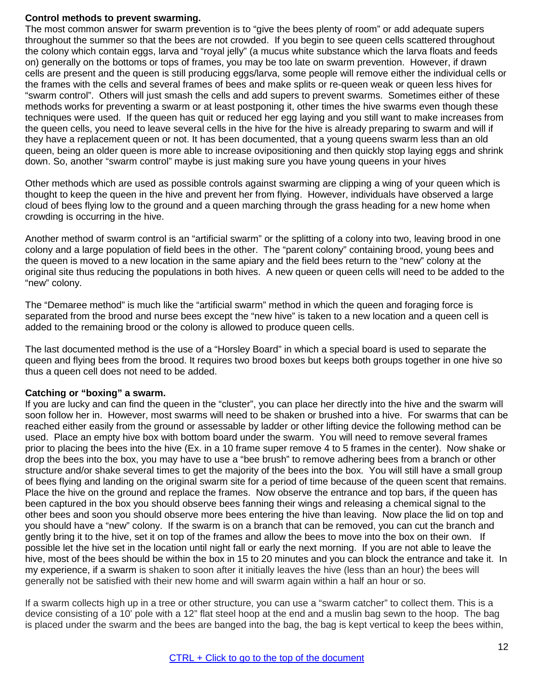#### **Control methods to prevent swarming.**

The most common answer for swarm prevention is to "give the bees plenty of room" or add adequate supers throughout the summer so that the bees are not crowded. If you begin to see queen cells scattered throughout the colony which contain eggs, larva and "royal jelly" (a mucus white substance which the larva floats and feeds on) generally on the bottoms or tops of frames, you may be too late on swarm prevention. However, if drawn cells are present and the queen is still producing eggs/larva, some people will remove either the individual cells or the frames with the cells and several frames of bees and make splits or re-queen weak or queen less hives for "swarm control". Others will just smash the cells and add supers to prevent swarms. Sometimes either of these methods works for preventing a swarm or at least postponing it, other times the hive swarms even though these techniques were used. If the queen has quit or reduced her egg laying and you still want to make increases from the queen cells, you need to leave several cells in the hive for the hive is already preparing to swarm and will if they have a replacement queen or not. It has been documented, that a young queens swarm less than an old queen, being an older queen is more able to increase ovipositioning and then quickly stop laying eggs and shrink down. So, another "swarm control" maybe is just making sure you have young queens in your hives

Other methods which are used as possible controls against swarming are clipping a wing of your queen which is thought to keep the queen in the hive and prevent her from flying. However, individuals have observed a large cloud of bees flying low to the ground and a queen marching through the grass heading for a new home when crowding is occurring in the hive.

Another method of swarm control is an "artificial swarm" or the splitting of a colony into two, leaving brood in one colony and a large population of field bees in the other. The "parent colony" containing brood, young bees and the queen is moved to a new location in the same apiary and the field bees return to the "new" colony at the original site thus reducing the populations in both hives. A new queen or queen cells will need to be added to the "new" colony.

The "Demaree method" is much like the "artificial swarm" method in which the queen and foraging force is separated from the brood and nurse bees except the "new hive" is taken to a new location and a queen cell is added to the remaining brood or the colony is allowed to produce queen cells.

The last documented method is the use of a "Horsley Board" in which a special board is used to separate the queen and flying bees from the brood. It requires two brood boxes but keeps both groups together in one hive so thus a queen cell does not need to be added.

#### **Catching or "boxing" a swarm.**

If you are lucky and can find the queen in the "cluster", you can place her directly into the hive and the swarm will soon follow her in. However, most swarms will need to be shaken or brushed into a hive. For swarms that can be reached either easily from the ground or assessable by ladder or other lifting device the following method can be used. Place an empty hive box with bottom board under the swarm. You will need to remove several frames prior to placing the bees into the hive (Ex. in a 10 frame super remove 4 to 5 frames in the center). Now shake or drop the bees into the box, you may have to use a "bee brush" to remove adhering bees from a branch or other structure and/or shake several times to get the majority of the bees into the box. You will still have a small group of bees flying and landing on the original swarm site for a period of time because of the queen scent that remains. Place the hive on the ground and replace the frames. Now observe the entrance and top bars, if the queen has been captured in the box you should observe bees fanning their wings and releasing a chemical signal to the other bees and soon you should observe more bees entering the hive than leaving. Now place the lid on top and you should have a "new" colony. If the swarm is on a branch that can be removed, you can cut the branch and gently bring it to the hive, set it on top of the frames and allow the bees to move into the box on their own. If possible let the hive set in the location until night fall or early the next morning. If you are not able to leave the hive, most of the bees should be within the box in 15 to 20 minutes and you can block the entrance and take it. In my experience, if a swarm is shaken to soon after it initially leaves the hive (less than an hour) the bees will generally not be satisfied with their new home and will swarm again within a half an hour or so.

If a swarm collects high up in a tree or other structure, you can use a "swarm catcher" to collect them. This is a device consisting of a 10' pole with a 12" flat steel hoop at the end and a muslin bag sewn to the hoop. The bag is placed under the swarm and the bees are banged into the bag, the bag is kept vertical to keep the bees within,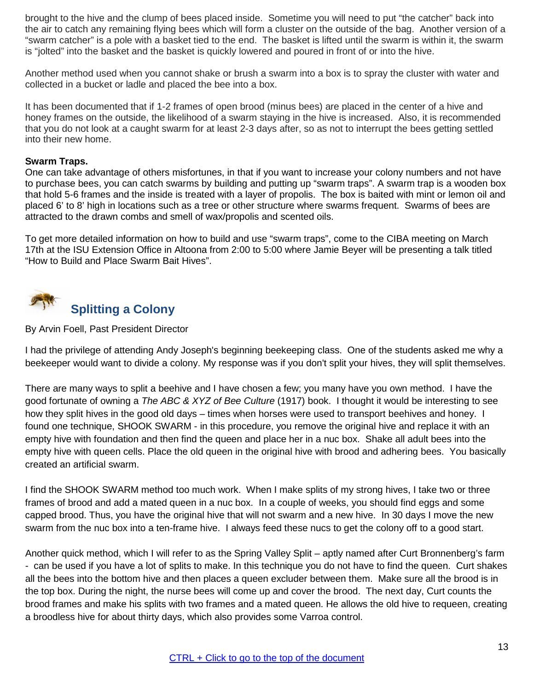brought to the hive and the clump of bees placed inside. Sometime you will need to put "the catcher" back into the air to catch any remaining flying bees which will form a cluster on the outside of the bag. Another version of a "swarm catcher" is a pole with a basket tied to the end. The basket is lifted until the swarm is within it, the swarm is "jolted" into the basket and the basket is quickly lowered and poured in front of or into the hive.

Another method used when you cannot shake or brush a swarm into a box is to spray the cluster with water and collected in a bucket or ladle and placed the bee into a box.

It has been documented that if 1-2 frames of open brood (minus bees) are placed in the center of a hive and honey frames on the outside, the likelihood of a swarm staying in the hive is increased. Also, it is recommended that you do not look at a caught swarm for at least 2-3 days after, so as not to interrupt the bees getting settled into their new home.

#### **Swarm Traps.**

One can take advantage of others misfortunes, in that if you want to increase your colony numbers and not have to purchase bees, you can catch swarms by building and putting up "swarm traps". A swarm trap is a wooden box that hold 5-6 frames and the inside is treated with a layer of propolis. The box is baited with mint or lemon oil and placed 6' to 8' high in locations such as a tree or other structure where swarms frequent. Swarms of bees are attracted to the drawn combs and smell of wax/propolis and scented oils.

To get more detailed information on how to build and use "swarm traps", come to the CIBA meeting on March 17th at the ISU Extension Office in Altoona from 2:00 to 5:00 where Jamie Beyer will be presenting a talk titled "How to Build and Place Swarm Bait Hives".

<span id="page-12-0"></span>

#### By Arvin Foell, Past President Director

I had the privilege of attending Andy Joseph's beginning beekeeping class. One of the students asked me why a beekeeper would want to divide a colony. My response was if you don't split your hives, they will split themselves.

There are many ways to split a beehive and I have chosen a few; you many have you own method. I have the good fortunate of owning a *The ABC & XYZ of Bee Culture* (1917) book. I thought it would be interesting to see how they split hives in the good old days – times when horses were used to transport beehives and honey. I found one technique, SHOOK SWARM - in this procedure, you remove the original hive and replace it with an empty hive with foundation and then find the queen and place her in a nuc box. Shake all adult bees into the empty hive with queen cells. Place the old queen in the original hive with brood and adhering bees. You basically created an artificial swarm.

I find the SHOOK SWARM method too much work. When I make splits of my strong hives, I take two or three frames of brood and add a mated queen in a nuc box. In a couple of weeks, you should find eggs and some capped brood. Thus, you have the original hive that will not swarm and a new hive. In 30 days I move the new swarm from the nuc box into a ten-frame hive. I always feed these nucs to get the colony off to a good start.

Another quick method, which I will refer to as the Spring Valley Split – aptly named after Curt Bronnenberg's farm - can be used if you have a lot of splits to make. In this technique you do not have to find the queen. Curt shakes all the bees into the bottom hive and then places a queen excluder between them. Make sure all the brood is in the top box. During the night, the nurse bees will come up and cover the brood. The next day, Curt counts the brood frames and make his splits with two frames and a mated queen. He allows the old hive to requeen, creating a broodless hive for about thirty days, which also provides some Varroa control.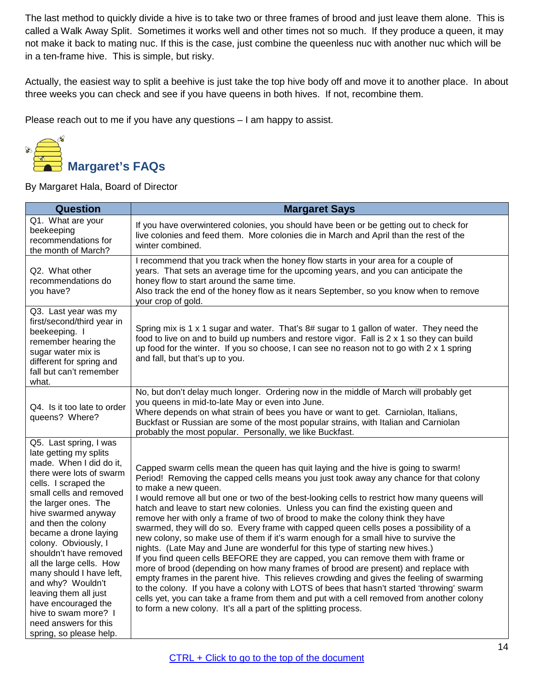The last method to quickly divide a hive is to take two or three frames of brood and just leave them alone. This is called a Walk Away Split. Sometimes it works well and other times not so much. If they produce a queen, it may not make it back to mating nuc. If this is the case, just combine the queenless nuc with another nuc which will be in a ten-frame hive. This is simple, but risky.

Actually, the easiest way to split a beehive is just take the top hive body off and move it to another place. In about three weeks you can check and see if you have queens in both hives. If not, recombine them.

Please reach out to me if you have any questions – I am happy to assist.

<span id="page-13-0"></span>

By Margaret Hala, Board of Director

| <b>Question</b>                                                                                                                                                                                                                                                                                                                                                                                                                                                                                                      | <b>Margaret Says</b>                                                                                                                                                                                                                                                                                                                                                                                                                                                                                                                                                                                                                                                                                                                                                                                                                                                                                                                                                                                                                                                                                                                                                                                                                                                                |
|----------------------------------------------------------------------------------------------------------------------------------------------------------------------------------------------------------------------------------------------------------------------------------------------------------------------------------------------------------------------------------------------------------------------------------------------------------------------------------------------------------------------|-------------------------------------------------------------------------------------------------------------------------------------------------------------------------------------------------------------------------------------------------------------------------------------------------------------------------------------------------------------------------------------------------------------------------------------------------------------------------------------------------------------------------------------------------------------------------------------------------------------------------------------------------------------------------------------------------------------------------------------------------------------------------------------------------------------------------------------------------------------------------------------------------------------------------------------------------------------------------------------------------------------------------------------------------------------------------------------------------------------------------------------------------------------------------------------------------------------------------------------------------------------------------------------|
| Q1. What are your<br>beekeeping<br>recommendations for<br>the month of March?                                                                                                                                                                                                                                                                                                                                                                                                                                        | If you have overwintered colonies, you should have been or be getting out to check for<br>live colonies and feed them. More colonies die in March and April than the rest of the<br>winter combined.                                                                                                                                                                                                                                                                                                                                                                                                                                                                                                                                                                                                                                                                                                                                                                                                                                                                                                                                                                                                                                                                                |
| Q2. What other<br>recommendations do<br>you have?                                                                                                                                                                                                                                                                                                                                                                                                                                                                    | I recommend that you track when the honey flow starts in your area for a couple of<br>years. That sets an average time for the upcoming years, and you can anticipate the<br>honey flow to start around the same time.<br>Also track the end of the honey flow as it nears September, so you know when to remove<br>your crop of gold.                                                                                                                                                                                                                                                                                                                                                                                                                                                                                                                                                                                                                                                                                                                                                                                                                                                                                                                                              |
| Q3. Last year was my<br>first/second/third year in<br>beekeeping. I<br>remember hearing the<br>sugar water mix is<br>different for spring and<br>fall but can't remember<br>what.                                                                                                                                                                                                                                                                                                                                    | Spring mix is 1 x 1 sugar and water. That's 8# sugar to 1 gallon of water. They need the<br>food to live on and to build up numbers and restore vigor. Fall is 2 x 1 so they can build<br>up food for the winter. If you so choose, I can see no reason not to go with 2 x 1 spring<br>and fall, but that's up to you.                                                                                                                                                                                                                                                                                                                                                                                                                                                                                                                                                                                                                                                                                                                                                                                                                                                                                                                                                              |
| Q4. Is it too late to order<br>queens? Where?                                                                                                                                                                                                                                                                                                                                                                                                                                                                        | No, but don't delay much longer. Ordering now in the middle of March will probably get<br>you queens in mid-to-late May or even into June.<br>Where depends on what strain of bees you have or want to get. Carniolan, Italians,<br>Buckfast or Russian are some of the most popular strains, with Italian and Carniolan<br>probably the most popular. Personally, we like Buckfast.                                                                                                                                                                                                                                                                                                                                                                                                                                                                                                                                                                                                                                                                                                                                                                                                                                                                                                |
| Q5. Last spring, I was<br>late getting my splits<br>made. When I did do it,<br>there were lots of swarm<br>cells. I scraped the<br>small cells and removed<br>the larger ones. The<br>hive swarmed anyway<br>and then the colony<br>became a drone laying<br>colony. Obviously, I<br>shouldn't have removed<br>all the large cells. How<br>many should I have left,<br>and why? Wouldn't<br>leaving them all just<br>have encouraged the<br>hive to swam more? I<br>need answers for this<br>spring, so please help. | Capped swarm cells mean the queen has quit laying and the hive is going to swarm!<br>Period! Removing the capped cells means you just took away any chance for that colony<br>to make a new queen.<br>I would remove all but one or two of the best-looking cells to restrict how many queens will<br>hatch and leave to start new colonies. Unless you can find the existing queen and<br>remove her with only a frame of two of brood to make the colony think they have<br>swarmed, they will do so. Every frame with capped queen cells poses a possibility of a<br>new colony, so make use of them if it's warm enough for a small hive to survive the<br>nights. (Late May and June are wonderful for this type of starting new hives.)<br>If you find queen cells BEFORE they are capped, you can remove them with frame or<br>more of brood (depending on how many frames of brood are present) and replace with<br>empty frames in the parent hive. This relieves crowding and gives the feeling of swarming<br>to the colony. If you have a colony with LOTS of bees that hasn't started 'throwing' swarm<br>cells yet, you can take a frame from them and put with a cell removed from another colony<br>to form a new colony. It's all a part of the splitting process. |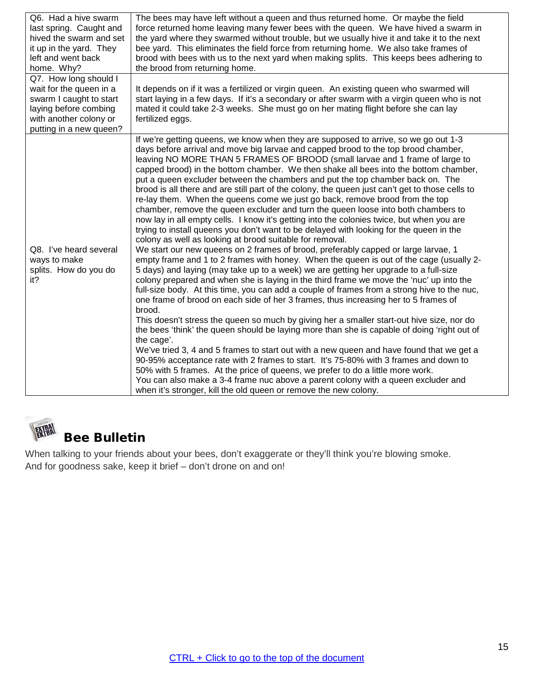| Q6. Had a hive swarm<br>last spring. Caught and<br>hived the swarm and set<br>it up in the yard. They<br>left and went back<br>home. Why? | The bees may have left without a queen and thus returned home. Or maybe the field<br>force returned home leaving many fewer bees with the queen. We have hived a swarm in<br>the yard where they swarmed without trouble, but we usually hive it and take it to the next<br>bee yard. This eliminates the field force from returning home. We also take frames of<br>brood with bees with us to the next yard when making splits. This keeps bees adhering to<br>the brood from returning home.                                                                                                                                                                                                                                                                                                                                                                                                                                                                                                                                                                                                                                                                                                                                                                                                                                                                                                                                                                                                                                                                                                                                                                                                                                                                                                                                                                                                                                                                                                                                                                                                                                                                              |
|-------------------------------------------------------------------------------------------------------------------------------------------|------------------------------------------------------------------------------------------------------------------------------------------------------------------------------------------------------------------------------------------------------------------------------------------------------------------------------------------------------------------------------------------------------------------------------------------------------------------------------------------------------------------------------------------------------------------------------------------------------------------------------------------------------------------------------------------------------------------------------------------------------------------------------------------------------------------------------------------------------------------------------------------------------------------------------------------------------------------------------------------------------------------------------------------------------------------------------------------------------------------------------------------------------------------------------------------------------------------------------------------------------------------------------------------------------------------------------------------------------------------------------------------------------------------------------------------------------------------------------------------------------------------------------------------------------------------------------------------------------------------------------------------------------------------------------------------------------------------------------------------------------------------------------------------------------------------------------------------------------------------------------------------------------------------------------------------------------------------------------------------------------------------------------------------------------------------------------------------------------------------------------------------------------------------------------|
| Q7. How long should I                                                                                                                     |                                                                                                                                                                                                                                                                                                                                                                                                                                                                                                                                                                                                                                                                                                                                                                                                                                                                                                                                                                                                                                                                                                                                                                                                                                                                                                                                                                                                                                                                                                                                                                                                                                                                                                                                                                                                                                                                                                                                                                                                                                                                                                                                                                              |
| wait for the queen in a                                                                                                                   | It depends on if it was a fertilized or virgin queen. An existing queen who swarmed will                                                                                                                                                                                                                                                                                                                                                                                                                                                                                                                                                                                                                                                                                                                                                                                                                                                                                                                                                                                                                                                                                                                                                                                                                                                                                                                                                                                                                                                                                                                                                                                                                                                                                                                                                                                                                                                                                                                                                                                                                                                                                     |
| swarm I caught to start<br>laying before combing                                                                                          | start laying in a few days. If it's a secondary or after swarm with a virgin queen who is not<br>mated it could take 2-3 weeks. She must go on her mating flight before she can lay                                                                                                                                                                                                                                                                                                                                                                                                                                                                                                                                                                                                                                                                                                                                                                                                                                                                                                                                                                                                                                                                                                                                                                                                                                                                                                                                                                                                                                                                                                                                                                                                                                                                                                                                                                                                                                                                                                                                                                                          |
| with another colony or                                                                                                                    | fertilized eggs.                                                                                                                                                                                                                                                                                                                                                                                                                                                                                                                                                                                                                                                                                                                                                                                                                                                                                                                                                                                                                                                                                                                                                                                                                                                                                                                                                                                                                                                                                                                                                                                                                                                                                                                                                                                                                                                                                                                                                                                                                                                                                                                                                             |
| putting in a new queen?                                                                                                                   |                                                                                                                                                                                                                                                                                                                                                                                                                                                                                                                                                                                                                                                                                                                                                                                                                                                                                                                                                                                                                                                                                                                                                                                                                                                                                                                                                                                                                                                                                                                                                                                                                                                                                                                                                                                                                                                                                                                                                                                                                                                                                                                                                                              |
| Q8. I've heard several<br>ways to make<br>splits. How do you do<br>it?                                                                    | If we're getting queens, we know when they are supposed to arrive, so we go out 1-3<br>days before arrival and move big larvae and capped brood to the top brood chamber,<br>leaving NO MORE THAN 5 FRAMES OF BROOD (small larvae and 1 frame of large to<br>capped brood) in the bottom chamber. We then shake all bees into the bottom chamber,<br>put a queen excluder between the chambers and put the top chamber back on. The<br>brood is all there and are still part of the colony, the queen just can't get to those cells to<br>re-lay them. When the queens come we just go back, remove brood from the top<br>chamber, remove the queen excluder and turn the queen loose into both chambers to<br>now lay in all empty cells. I know it's getting into the colonies twice, but when you are<br>trying to install queens you don't want to be delayed with looking for the queen in the<br>colony as well as looking at brood suitable for removal.<br>We start our new queens on 2 frames of brood, preferably capped or large larvae, 1<br>empty frame and 1 to 2 frames with honey. When the queen is out of the cage (usually 2-<br>5 days) and laying (may take up to a week) we are getting her upgrade to a full-size<br>colony prepared and when she is laying in the third frame we move the 'nuc' up into the<br>full-size body. At this time, you can add a couple of frames from a strong hive to the nuc,<br>one frame of brood on each side of her 3 frames, thus increasing her to 5 frames of<br>brood.<br>This doesn't stress the queen so much by giving her a smaller start-out hive size, nor do<br>the bees 'think' the queen should be laying more than she is capable of doing 'right out of<br>the cage'.<br>We've tried 3, 4 and 5 frames to start out with a new queen and have found that we get a<br>90-95% acceptance rate with 2 frames to start. It's 75-80% with 3 frames and down to<br>50% with 5 frames. At the price of queens, we prefer to do a little more work.<br>You can also make a 3-4 frame nuc above a parent colony with a queen excluder and<br>when it's stronger, kill the old queen or remove the new colony. |

<span id="page-14-0"></span>

When talking to your friends about your bees, don't exaggerate or they'll think you're blowing smoke. And for goodness sake, keep it brief – don't drone on and on!